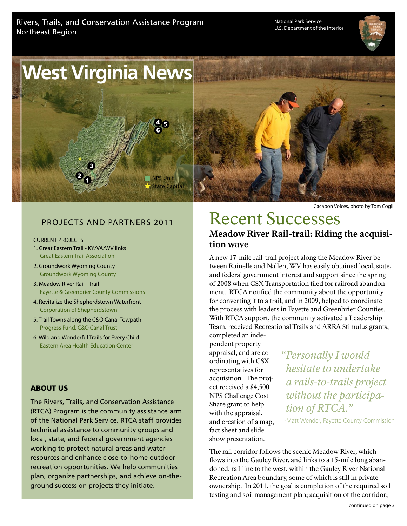National Park Service U.S. Department of the Interior





# Projects and Partners 2011

#### CURRENT PROJECTS

- 1. Great Eastern Trail KY/VA/WV links Great Eastern Trail Association
- 2. Groundwork Wyoming County Groundwork Wyoming County
- 3. Meadow River Rail Trail Fayette & Greenbrier County Commissions
- 4. Revitalize the Shepherdstown Waterfront Corporation of Shepherdstown
- 5. Trail Towns along the C&O Canal Towpath Progress Fund, C&O Canal Trust
- 6. Wild and Wonderful Trails for Every Child Eastern Area Health Education Center

#### ABOUT US

The Rivers, Trails, and Conservation Assistance (RTCA) Program is the community assistance arm of the National Park Service. RTCA staff provides technical assistance to community groups and local, state, and federal government agencies working to protect natural areas and water resources and enhance close-to-home outdoor recreation opportunities. We help communities plan, organize partnerships, and achieve on-theground success on projects they initiate.

Cacapon Voices, photo by Tom Cogill

# Recent Successes Meadow River Rail-trail: Riding the acquisition wave

A new 17-mile rail-trail project along the Meadow River between Rainelle and Nallen, WV has easily obtained local, state, and federal government interest and support since the spring of 2008 when CSX Transportation filed for railroad abandonment. RTCA notified the community about the opportunity for converting it to a trail, and in 2009, helped to coordinate the process with leaders in Fayette and Greenbrier Counties. With RTCA support, the community activated a Leadership Team, received Recreational Trails and ARRA Stimulus grants, completed an inde-

pendent property appraisal, and are coordinating with CSX representatives for acquisition. The project received a \$4,500 NPS Challenge Cost Share grant to help with the appraisal, and creation of a map, fact sheet and slide show presentation.

*"Personally I would hesitate to undertake a rails-to-trails project without the participation of RTCA."* 

-Matt Wender, Fayette County Commission

The rail corridor follows the scenic Meadow River, which flows into the Gauley River, and links to a 15-mile long abandoned, rail line to the west, within the Gauley River National Recreation Area boundary, some of which is still in private ownership. In 2011, the goal is completion of the required soil testing and soil management plan; acquisition of the corridor;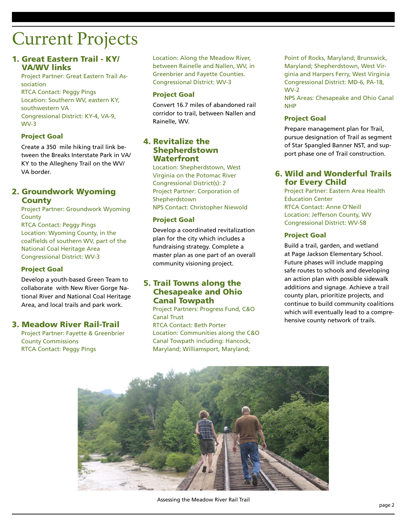# Current Projects

#### 1. Great Eastern Trail - KY/ VA/WV links

Project Partner: Great Eastern Trail Association RTCA Contact: Peggy Pings Location: Southern WV, eastern KY, southwestern VA Congressional District: KY-4, VA-9, WV-3

#### Project Goal

Create a 350 mile hiking trail link between the Breaks Interstate Park in VA/ KY to the Allegheny Trail on the WV/ VA border.

#### 2. Groundwork Wyoming **County**

Project Partner: Groundwork Wyoming **County** 

RTCA Contact: Peggy Pings Location: Wyoming County, in the coalfields of southern WV, part of the National Coal Heritage Area Congressional District: WV-3

#### Project Goal

Develop a youth-based Green Team to collaborate with New River Gorge National River and National Coal Heritage Area, and local trails and park work.

#### 3. Meadow River Rail-Trail

Project Partner: Fayette & Greenbrier County Commissions RTCA Contact: Peggy Pings

Location: Along the Meadow River, between Rainelle and Nallen, WV, in Greenbrier and Fayette Counties. Congressional District: WV-3

#### Project Goal

Convert 16.7 miles of abandoned rail corridor to trail, between Nallen and Rainelle, WV.

#### 4. Revitalize the Shepherdstown **Waterfront**

Location: Shepherdstown, West Virginia on the Potomac River Congressional District(s): 2 Project Partner: Corporation of Shepherdstown NPS Contact: Christopher Niewold

#### Project Goal

Develop a coordinated revitalization plan for the city which includes a fundraising strategy. Complete a master plan as one part of an overall community visioning project.

#### 5. Trail Towns along the Chesapeake and Ohio Canal Towpath

Project Partners: Progress Fund, C&O Canal Trust

RTCA Contact: Beth Porter Location: Communities along the C&O Canal Towpath including: Hancock, Maryland; Williamsport, Maryland;

Point of Rocks, Maryland; Brunswick, Maryland; Shepherdstown, West Virginia and Harpers Ferry, West Virginia Congressional District: MD-6, PA-18, WV-2

NPS Areas: Chesapeake and Ohio Canal NHP

#### Project Goal

Prepare management plan for Trail, pursue designation of Trail as segment of Star Spangled Banner NST, and support phase one of Trail construction.

#### 6. Wild and Wonderful Trails for Every Child

Project Partner: Eastern Area Health Education Center RTCA Contact: Anne O'Neill Location: Jefferson County, WV Congressional District: WV-58

#### Project Goal

Build a trail, garden, and wetland at Page Jackson Elementary School. Future phases will include mapping safe routes to schools and developing an action plan with possible sidewalk additions and signage. Achieve a trail county plan, prioritize projects, and continue to build community coalitions which will eventually lead to a comprehensive county network of trails.



Assessing the Meadow River Rail Trail